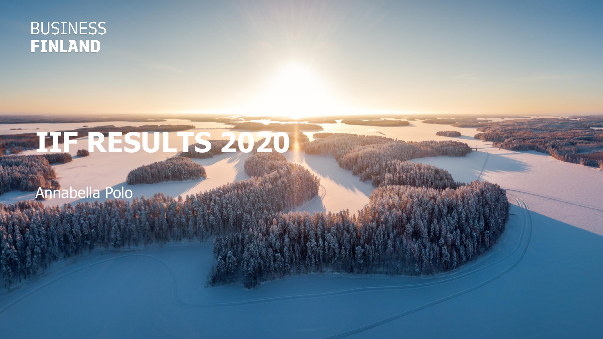#### **BUSINESS FINLAND**

# **IIF RESULTS 2020**

Annabella Polo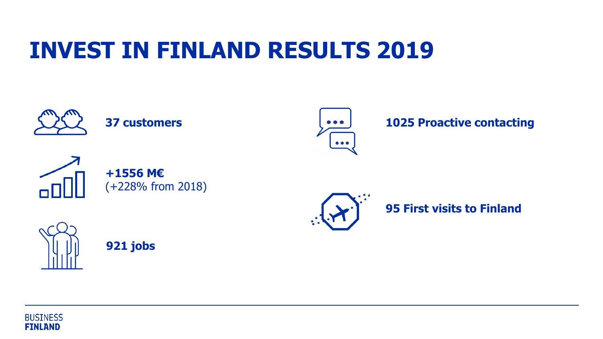# **INVEST IN FINLAND RESULTS 2019**



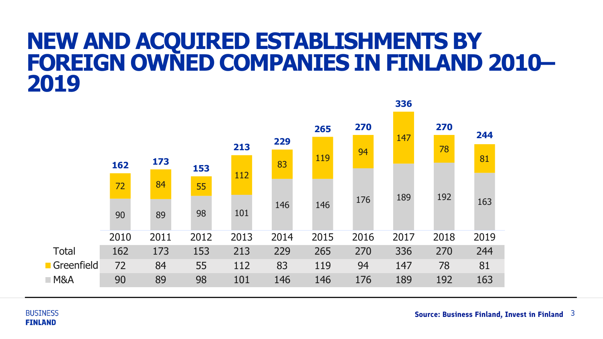#### **NEW AND ACQUIRED ESTABLISHMENTS BY FOREIGN OWNED COMPANIES IN FINLAND 2010–**



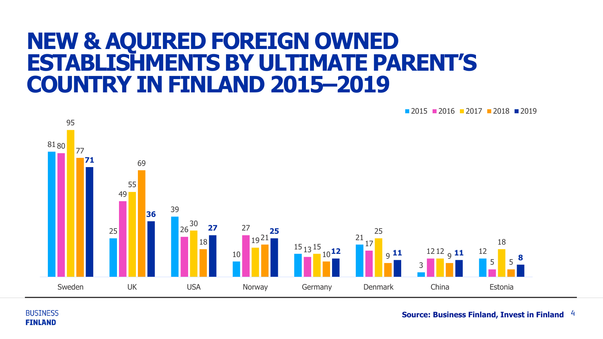#### **NEW & AQUIRED FOREIGN OWNED ESTABLISHMENTS BY ULTIMATE PARENT'S COUNTRY IN FINLAND 2015–2019**

**2015 2016 2017 2018 2019** 



**BUSINESS FINLAND** 

4 **Source: Business Finland, Invest in Finland**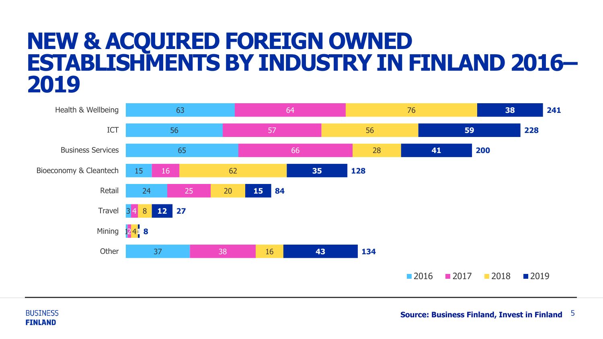#### **NEW & ACQUIRED FOREIGN OWNED ESTABLISHMENTS BY INDUSTRY IN FINLAND 2016–**



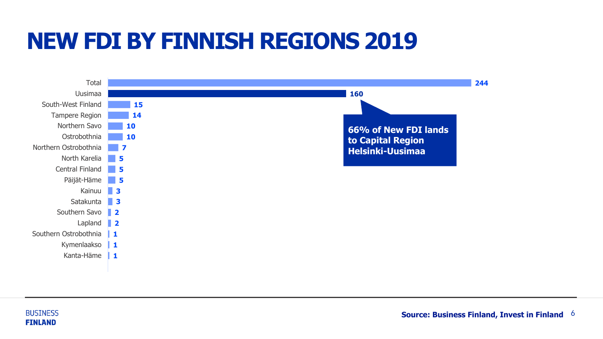# **NEW FDI BY FINNISH REGIONS 2019**



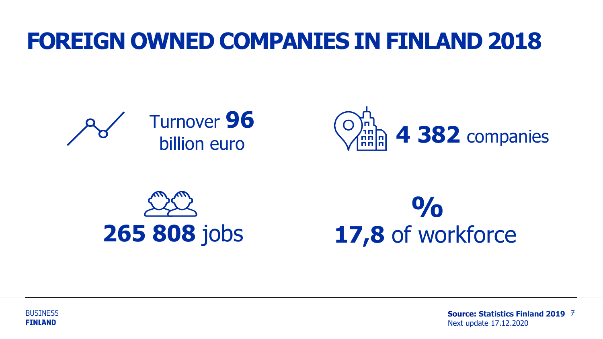## **FOREIGN OWNED COMPANIES IN FINLAND 2018**











7 **Source: Statistics Finland 2019** Next update 17.12.2020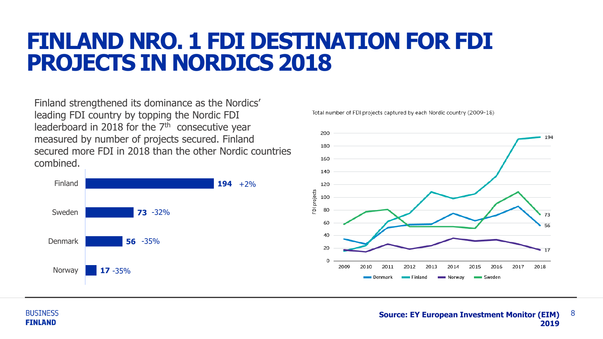### **FINLAND NRO. 1 FDI DESTINATION FOR FDI PROJECTS IN NORDICS 2018**

Finland strengthened its dominance as the Nordics' leading FDI country by topping the Nordic FDI leaderboard in 2018 for the  $7<sup>th</sup>$  consecutive year measured by number of projects secured. Finland secured more FDI in 2018 than the other Nordic countries combined.



Total number of FDI projects captured by each Nordic country (2009-18)



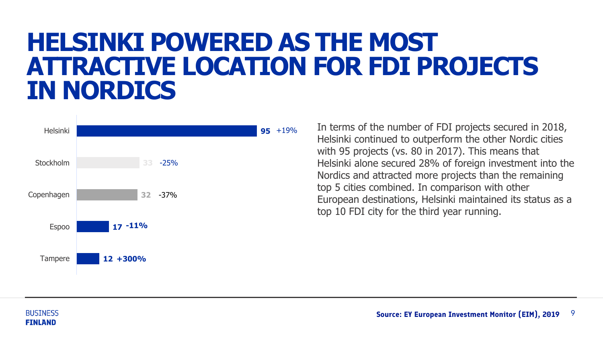# **HELSINKI POWERED AS THE MOST ATTRACTIVE LOCATION FOR FDI PROJECTS IN NORDICS**



In terms of the number of FDI projects secured in 2018, Helsinki continued to outperform the other Nordic cities with 95 projects (vs. 80 in 2017). This means that Helsinki alone secured 28% of foreign investment into the Nordics and attracted more projects than the remaining top 5 cities combined. In comparison with other European destinations, Helsinki maintained its status as a top 10 FDI city for the third year running.